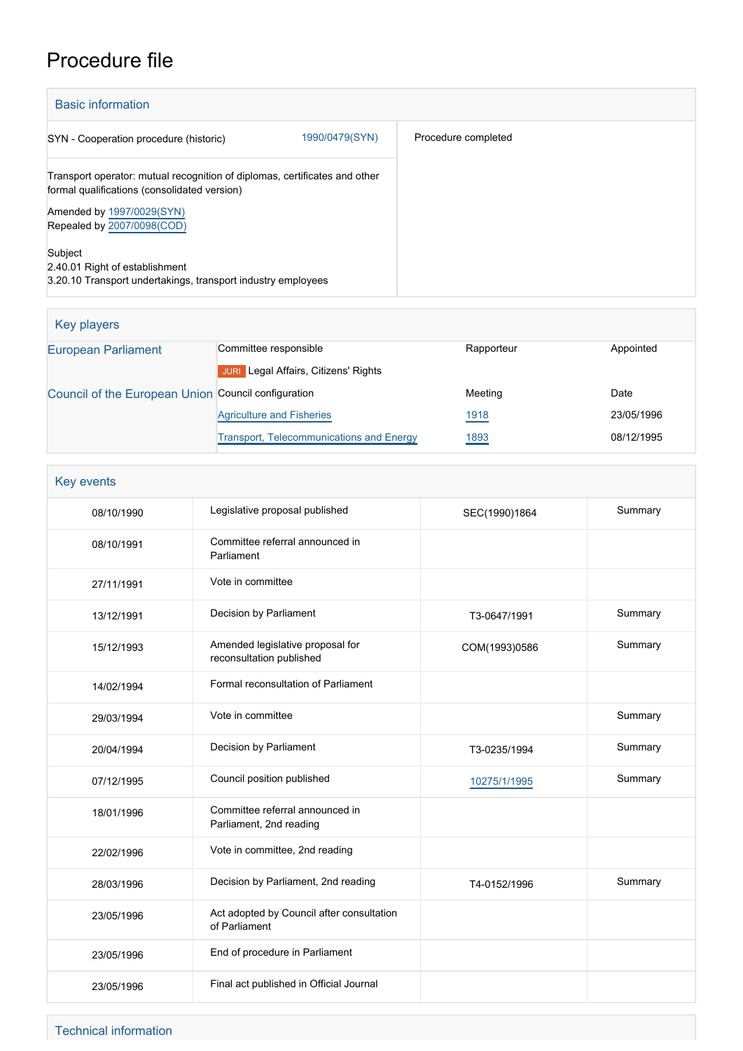# Procedure file

| <b>Basic information</b>                                                                                                   |                     |  |  |  |
|----------------------------------------------------------------------------------------------------------------------------|---------------------|--|--|--|
| 1990/0479(SYN)<br>SYN - Cooperation procedure (historic)                                                                   | Procedure completed |  |  |  |
| Transport operator: mutual recognition of diplomas, certificates and other<br>formal qualifications (consolidated version) |                     |  |  |  |
| Amended by 1997/0029(SYN)<br>Repealed by 2007/0098(COD)                                                                    |                     |  |  |  |
| Subject<br>2.40.01 Right of establishment<br>3.20.10 Transport undertakings, transport industry employees                  |                     |  |  |  |

| Key players                                         |                                                 |            |            |
|-----------------------------------------------------|-------------------------------------------------|------------|------------|
| <b>European Parliament</b>                          | Committee responsible                           | Rapporteur | Appointed  |
|                                                     | Legal Affairs, Citizens' Rights<br><b>JURI</b>  |            |            |
| Council of the European Union Council configuration |                                                 | Meeting    | Date       |
|                                                     | <b>Agriculture and Fisheries</b>                | 1918       | 23/05/1996 |
|                                                     | <b>Transport, Telecommunications and Energy</b> | 1893       | 08/12/1995 |

| <b>Key events</b> |            |                                                              |               |         |
|-------------------|------------|--------------------------------------------------------------|---------------|---------|
| 08/10/1990        |            | Legislative proposal published                               | SEC(1990)1864 | Summary |
| 08/10/1991        |            | Committee referral announced in<br>Parliament                |               |         |
| 27/11/1991        |            | Vote in committee                                            |               |         |
| 13/12/1991        |            | Decision by Parliament                                       | T3-0647/1991  | Summary |
|                   | 15/12/1993 | Amended legislative proposal for<br>reconsultation published | COM(1993)0586 | Summary |
|                   | 14/02/1994 | Formal reconsultation of Parliament                          |               |         |
|                   | 29/03/1994 | Vote in committee                                            |               | Summary |
|                   | 20/04/1994 | Decision by Parliament                                       | T3-0235/1994  | Summary |
|                   | 07/12/1995 | Council position published                                   | 10275/1/1995  | Summary |
|                   | 18/01/1996 | Committee referral announced in<br>Parliament, 2nd reading   |               |         |
|                   | 22/02/1996 | Vote in committee, 2nd reading                               |               |         |
|                   | 28/03/1996 | Decision by Parliament, 2nd reading                          | T4-0152/1996  | Summary |
|                   | 23/05/1996 | Act adopted by Council after consultation<br>of Parliament   |               |         |
|                   | 23/05/1996 | End of procedure in Parliament                               |               |         |
|                   | 23/05/1996 | Final act published in Official Journal                      |               |         |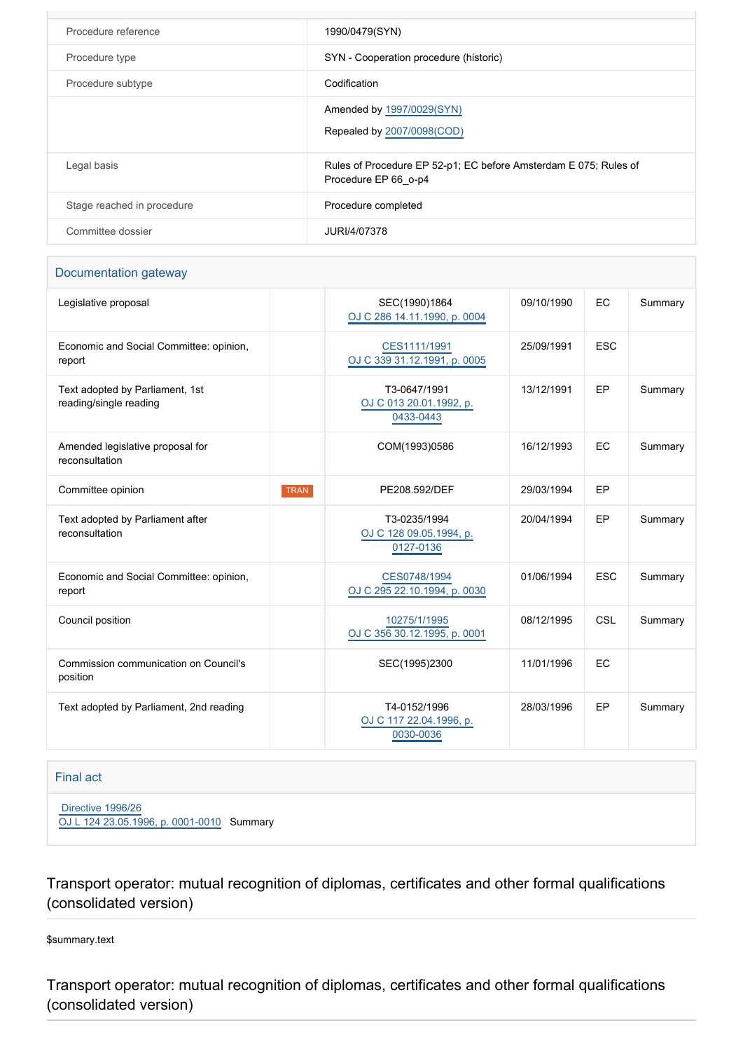| Procedure reference        | 1990/0479(SYN)                                                                           |
|----------------------------|------------------------------------------------------------------------------------------|
| Procedure type             | SYN - Cooperation procedure (historic)                                                   |
| Procedure subtype          | Codification                                                                             |
|                            | Amended by 1997/0029(SYN)<br>Repealed by 2007/0098(COD)                                  |
| Legal basis                | Rules of Procedure EP 52-p1; EC before Amsterdam E 075; Rules of<br>Procedure EP 66 o-p4 |
| Stage reached in procedure | Procedure completed                                                                      |
| Committee dossier          | JURI/4/07378                                                                             |

#### Documentation gateway

| Legislative proposal                                      |             | SEC(1990)1864<br>OJ C 286 14.11.1990, p. 0004        | 09/10/1990 | <b>EC</b>  | Summary |
|-----------------------------------------------------------|-------------|------------------------------------------------------|------------|------------|---------|
| Economic and Social Committee: opinion,<br>report         |             | CES1111/1991<br>OJ C 339 31.12.1991, p. 0005         | 25/09/1991 | <b>ESC</b> |         |
| Text adopted by Parliament, 1st<br>reading/single reading |             | T3-0647/1991<br>OJ C 013 20.01.1992, p.<br>0433-0443 | 13/12/1991 | EP         | Summary |
| Amended legislative proposal for<br>reconsultation        |             | COM(1993)0586                                        | 16/12/1993 | EC         | Summary |
| Committee opinion                                         | <b>TRAN</b> | PE208.592/DEF                                        | 29/03/1994 | EP         |         |
| Text adopted by Parliament after<br>reconsultation        |             | T3-0235/1994<br>OJ C 128 09.05.1994, p.<br>0127-0136 | 20/04/1994 | EP         | Summary |
| Economic and Social Committee: opinion,<br>report         |             | CES0748/1994<br>OJ C 295 22.10.1994, p. 0030         | 01/06/1994 | <b>ESC</b> | Summary |
| Council position                                          |             | 10275/1/1995<br>OJ C 356 30.12.1995, p. 0001         | 08/12/1995 | <b>CSL</b> | Summary |
| Commission communication on Council's<br>position         |             | SEC(1995)2300                                        | 11/01/1996 | EC         |         |
| Text adopted by Parliament, 2nd reading                   |             | T4-0152/1996<br>OJ C 117 22.04.1996, p.<br>0030-0036 | 28/03/1996 | EP         | Summary |

#### Final act

 [Directive 1996/26](https://eur-lex.europa.eu/smartapi/cgi/sga_doc?smartapi!celexplus!prod!CELEXnumdoc&lg=EN&numdoc=31996L0026) [OJ L 124 23.05.1996, p. 0001-0010](https://eur-lex.europa.eu/JOHtml.do?uri=OJ:L:1996:124:SOM:EN:HTML) Summary

Transport operator: mutual recognition of diplomas, certificates and other formal qualifications (consolidated version)

\$summary.text

Transport operator: mutual recognition of diplomas, certificates and other formal qualifications (consolidated version)